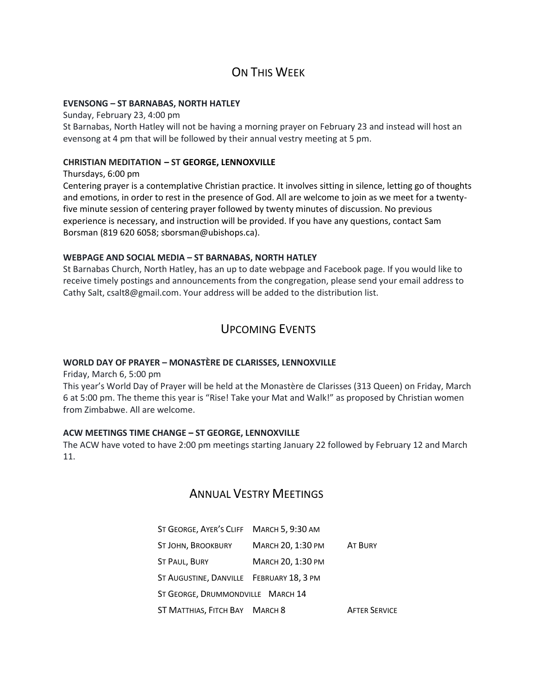# ON THIS WFFK

#### **EVENSONG – ST BARNABAS, NORTH HATLEY**

Sunday, February 23, 4:00 pm St Barnabas, North Hatley will not be having a morning prayer on February 23 and instead will host an evensong at 4 pm that will be followed by their annual vestry meeting at 5 pm.

#### **CHRISTIAN MEDITATION – ST GEORGE, LENNOXVILLE**

Thursdays, 6:00 pm

Centering prayer is a contemplative Christian practice. It involves sitting in silence, letting go of thoughts and emotions, in order to rest in the presence of God. All are welcome to join as we meet for a twentyfive minute session of centering prayer followed by twenty minutes of discussion. No previous experience is necessary, and instruction will be provided. If you have any questions, contact Sam Borsman (819 620 6058; sborsman@ubishops.ca).

### **WEBPAGE AND SOCIAL MEDIA – ST BARNABAS, NORTH HATLEY**

St Barnabas Church, North Hatley, has an up to date webpage and Facebook page. If you would like to receive timely postings and announcements from the congregation, please send your email address to Cathy Salt, csalt8@gmail.com. Your address will be added to the distribution list.

# UPCOMING EVENTS

### **WORLD DAY OF PRAYER – MONASTÈRE DE CLARISSES, LENNOXVILLE**

Friday, March 6, 5:00 pm

This year's World Day of Prayer will be held at the Monastère de Clarisses (313 Queen) on Friday, March 6 at 5:00 pm. The theme this year is "Rise! Take your Mat and Walk!" as proposed by Christian women from Zimbabwe. All are welcome.

### **ACW MEETINGS TIME CHANGE – ST GEORGE, LENNOXVILLE**

The ACW have voted to have 2:00 pm meetings starting January 22 followed by February 12 and March 11.

## ANNUAL VESTRY MEETINGS

| ST GEORGE, AYER'S CLIFF MARCH 5, 9:30 AM |                   |                      |  |
|------------------------------------------|-------------------|----------------------|--|
| ST JOHN, BROOKBURY                       | MARCH 20, 1:30 PM | AT BURY              |  |
| ST PAUL, BURY                            | MARCH 20, 1:30 PM |                      |  |
| ST AUGUSTINE, DANVILLE FEBRUARY 18, 3 PM |                   |                      |  |
| ST GEORGE, DRUMMONDVILLE MARCH 14        |                   |                      |  |
| ST MATTHIAS, FITCH BAY MARCH 8           |                   | <b>AFTER SERVICE</b> |  |